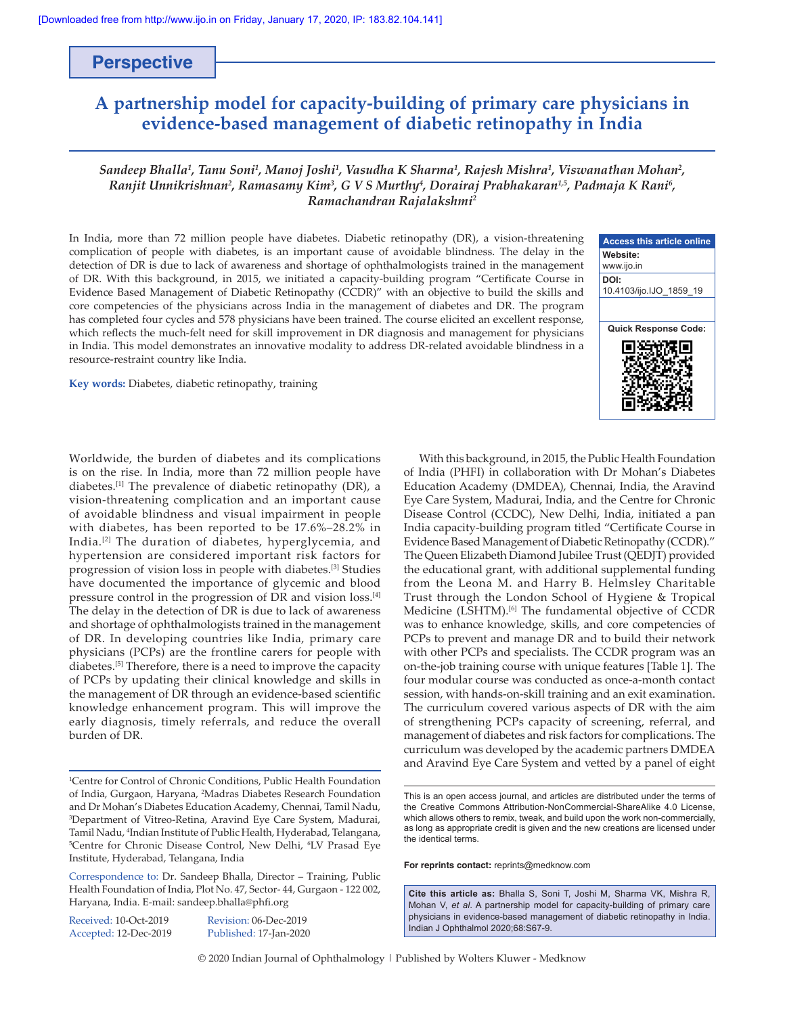# **Perspective**

# **A partnership model for capacity‑building of primary care physicians in evidence‑based management of diabetic retinopathy in India**

### *Sandeep Bhalla1 , Tanu Soni1 , Manoj Joshi1 , Vasudha K Sharma<sup>1</sup> , Rajesh Mishra1 , Viswanathan Mohan2 , Ranjit Unnikrishnan2 , Ramasamy Kim<sup>3</sup> , G V S Murthy4 , Dorairaj Prabhakaran1,5, Padmaja K Rani<sup>6</sup> , Ramachandran Rajalakshmi2*

In India, more than 72 million people have diabetes. Diabetic retinopathy (DR), a vision-threatening complication of people with diabetes, is an important cause of avoidable blindness. The delay in the detection of DR is due to lack of awareness and shortage of ophthalmologists trained in the management of DR. With this background, in 2015, we initiated a capacity‑building program "Certificate Course in Evidence Based Management of Diabetic Retinopathy (CCDR)" with an objective to build the skills and core competencies of the physicians across India in the management of diabetes and DR. The program has completed four cycles and 578 physicians have been trained. The course elicited an excellent response, which reflects the much-felt need for skill improvement in DR diagnosis and management for physicians in India. This model demonstrates an innovative modality to address DR-related avoidable blindness in a resource‑restraint country like India.

**Key words:** Diabetes, diabetic retinopathy, training

Worldwide, the burden of diabetes and its complications is on the rise. In India, more than 72 million people have diabetes.[1] The prevalence of diabetic retinopathy (DR), a vision‑threatening complication and an important cause of avoidable blindness and visual impairment in people with diabetes, has been reported to be 17.6%–28.2% in India.[2] The duration of diabetes, hyperglycemia, and hypertension are considered important risk factors for progression of vision loss in people with diabetes.[3] Studies have documented the importance of glycemic and blood pressure control in the progression of DR and vision loss.[4] The delay in the detection of DR is due to lack of awareness and shortage of ophthalmologists trained in the management of DR. In developing countries like India, primary care physicians (PCPs) are the frontline carers for people with diabetes.[5] Therefore, there is a need to improve the capacity of PCPs by updating their clinical knowledge and skills in the management of DR through an evidence-based scientific knowledge enhancement program. This will improve the early diagnosis, timely referrals, and reduce the overall burden of DR.

Received: 10-Oct-2019 Revision: 06-Dec-2019

Accepted: 12-Dec-2019 Published: 17-Jan-2020

**Access this article online Website:** www.ijo.in **DOI:** 10.4103/ijo.IJO\_1859\_19 **Quick Response Code:**

With this background, in 2015, the Public Health Foundation of India (PHFI) in collaboration with Dr Mohan's Diabetes Education Academy (DMDEA), Chennai, India, the Aravind Eye Care System, Madurai, India, and the Centre for Chronic Disease Control (CCDC), New Delhi, India, initiated a pan India capacity‑building program titled "Certificate Course in Evidence Based Management of Diabetic Retinopathy (CCDR)." The Queen Elizabeth Diamond Jubilee Trust (QEDJT) provided the educational grant, with additional supplemental funding from the Leona M. and Harry B. Helmsley Charitable Trust through the London School of Hygiene & Tropical Medicine (LSHTM).[6] The fundamental objective of CCDR was to enhance knowledge, skills, and core competencies of PCPs to prevent and manage DR and to build their network with other PCPs and specialists. The CCDR program was an on‑the‑job training course with unique features [Table 1]. The four modular course was conducted as once‑a‑month contact session, with hands-on-skill training and an exit examination. The curriculum covered various aspects of DR with the aim of strengthening PCPs capacity of screening, referral, and management of diabetes and risk factors for complications. The curriculum was developed by the academic partners DMDEA and Aravind Eye Care System and vetted by a panel of eight

**For reprints contact:** reprints@medknow.com

**Cite this article as:** Bhalla S, Soni T, Joshi M, Sharma VK, Mishra R, Mohan V, *et al*. A partnership model for capacity-building of primary care physicians in evidence-based management of diabetic retinopathy in India. Indian J Ophthalmol 2020;68:S67-9.

© 2020 Indian Journal of Ophthalmology | Published by Wolters Kluwer - Medknow

<sup>1</sup> Centre for Control of Chronic Conditions, Public Health Foundation of India, Gurgaon, Haryana, 2 Madras Diabetes Research Foundation and Dr Mohan's Diabetes Education Academy, Chennai, Tamil Nadu, 3 Department of Vitreo-Retina, Aravind Eye Care System, Madurai, Tamil Nadu, <sup>4</sup>Indian Institute of Public Health, Hyderabad, Telangana,<br><sup>5</sup>Centre for Chronic Disease Control, New Delhi, <sup>6</sup>LV Prasad Eve Centre for Chronic Disease Control, New Delhi, <sup>6</sup>LV Prasad Eye Institute, Hyderabad, Telangana, India

Correspondence to: Dr. Sandeep Bhalla, Director – Training, Public Health Foundation of India, Plot No. 47, Sector-44, Gurgaon - 122 002, Haryana, India. E‑mail: sandeep.bhalla@phfi.org

This is an open access journal, and articles are distributed under the terms of the Creative Commons Attribution‑NonCommercial‑ShareAlike 4.0 License, which allows others to remix, tweak, and build upon the work non-commercially, as long as appropriate credit is given and the new creations are licensed under the identical terms.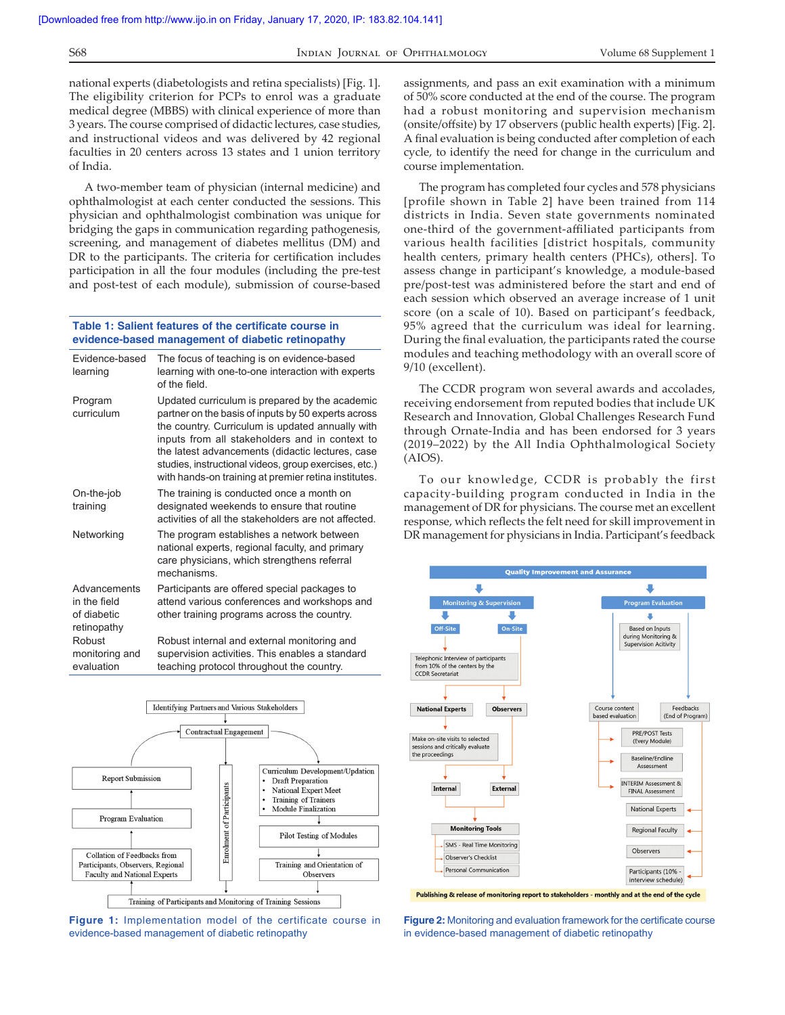national experts (diabetologists and retina specialists) [Fig. 1]. The eligibility criterion for PCPs to enrol was a graduate medical degree (MBBS) with clinical experience of more than 3 years. The course comprised of didactic lectures, case studies, and instructional videos and was delivered by 42 regional faculties in 20 centers across 13 states and 1 union territory of India.

A two‑member team of physician (internal medicine) and ophthalmologist at each center conducted the sessions. This physician and ophthalmologist combination was unique for bridging the gaps in communication regarding pathogenesis, screening, and management of diabetes mellitus (DM) and DR to the participants. The criteria for certification includes participation in all the four modules (including the pre‑test and post-test of each module), submission of course-based

#### **Table 1: Salient features of the certificate course in evidence-based management of diabetic retinopathy**

| Fvidence-based<br>learning                                 | The focus of teaching is on evidence-based<br>learning with one-to-one interaction with experts<br>of the field                                                                                                                                                                                                                                                                  |  |  |
|------------------------------------------------------------|----------------------------------------------------------------------------------------------------------------------------------------------------------------------------------------------------------------------------------------------------------------------------------------------------------------------------------------------------------------------------------|--|--|
| Program<br>curriculum                                      | Updated curriculum is prepared by the academic<br>partner on the basis of inputs by 50 experts across<br>the country. Curriculum is updated annually with<br>inputs from all stakeholders and in context to<br>the latest advancements (didactic lectures, case<br>studies, instructional videos, group exercises, etc.)<br>with hands-on training at premier retina institutes. |  |  |
| On-the-job<br>training                                     | The training is conducted once a month on<br>designated weekends to ensure that routine<br>activities of all the stakeholders are not affected.                                                                                                                                                                                                                                  |  |  |
| Networking                                                 | The program establishes a network between<br>national experts, regional faculty, and primary<br>care physicians, which strengthens referral<br>mechanisms                                                                                                                                                                                                                        |  |  |
| Advancements<br>in the field<br>of diabetic<br>retinopathy | Participants are offered special packages to<br>attend various conferences and workshops and<br>other training programs across the country.                                                                                                                                                                                                                                      |  |  |
| Robust<br>monitoring and<br>evaluation                     | Robust internal and external monitoring and<br>supervision activities. This enables a standard<br>teaching protocol throughout the country.                                                                                                                                                                                                                                      |  |  |



**Figure 1:** Implementation model of the certificate course in evidence‑based management of diabetic retinopathy

assignments, and pass an exit examination with a minimum of 50% score conducted at the end of the course. The program had a robust monitoring and supervision mechanism (onsite/offsite) by 17 observers (public health experts) [Fig. 2]. A final evaluation is being conducted after completion of each cycle, to identify the need for change in the curriculum and course implementation.

The program has completed four cycles and 578 physicians [profile shown in Table 2] have been trained from 114 districts in India. Seven state governments nominated one‑third of the government‑affiliated participants from various health facilities [district hospitals, community health centers, primary health centers (PHCs), others]. To assess change in participant's knowledge, a module-based pre/post-test was administered before the start and end of each session which observed an average increase of 1 unit score (on a scale of 10). Based on participant's feedback, 95% agreed that the curriculum was ideal for learning. During the final evaluation, the participants rated the course modules and teaching methodology with an overall score of 9/10 (excellent).

The CCDR program won several awards and accolades, receiving endorsement from reputed bodies that include UK Research and Innovation, Global Challenges Research Fund through Ornate‑India and has been endorsed for 3 years (2019–2022) by the All India Ophthalmological Society (AIOS).

To our knowledge, CCDR is probably the first capacity‑building program conducted in India in the management of DR for physicians. The course met an excellent response, which reflects the felt need for skill improvement in DR management for physicians in India. Participant's feedback



Publishing & release of monitoring report to stakeholders - monthly and at the end of the cycle

**Figure 2:** Monitoring and evaluation framework for the certificate course in evidence-based management of diabetic retinopathy